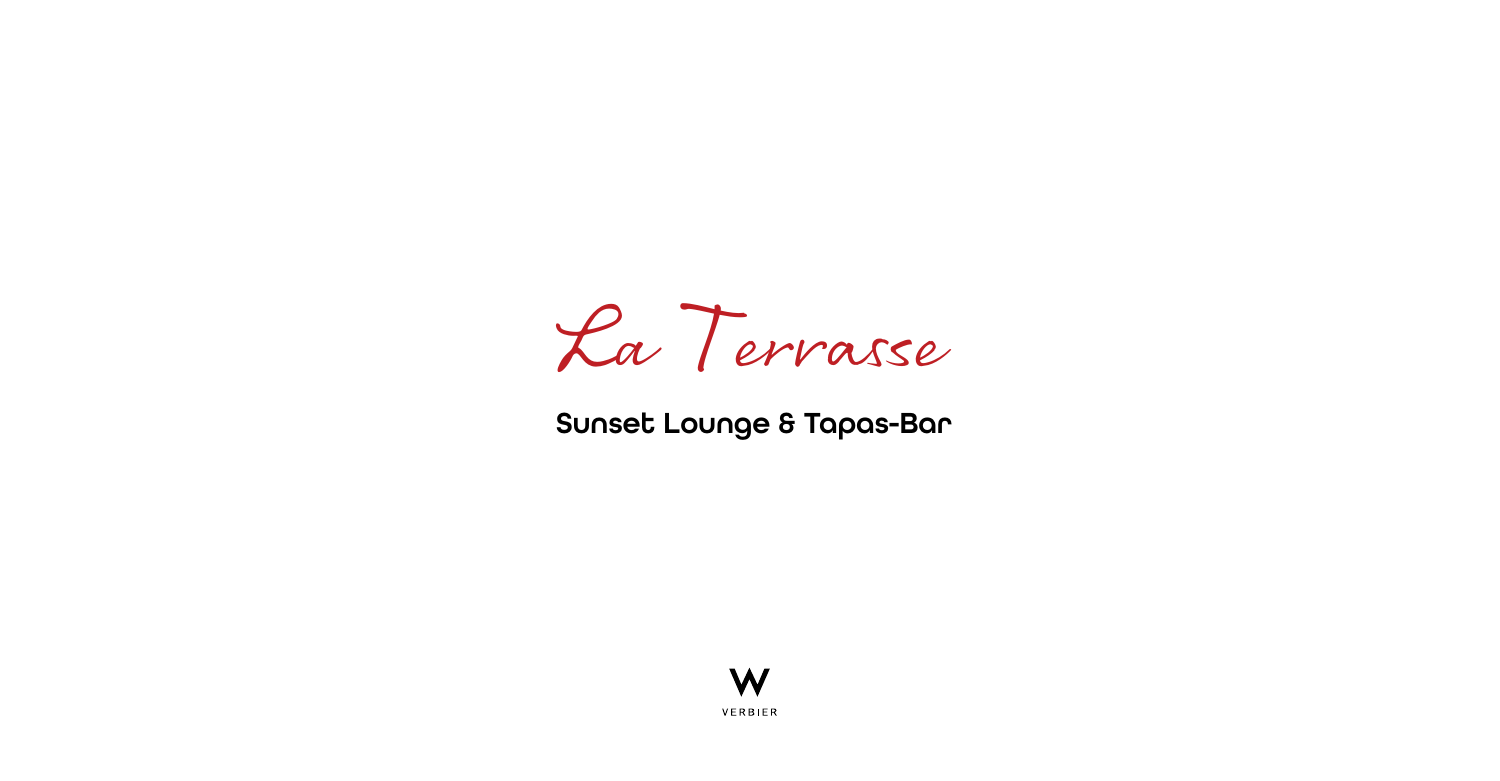

## Sunset Lounge & Tapas-Bar

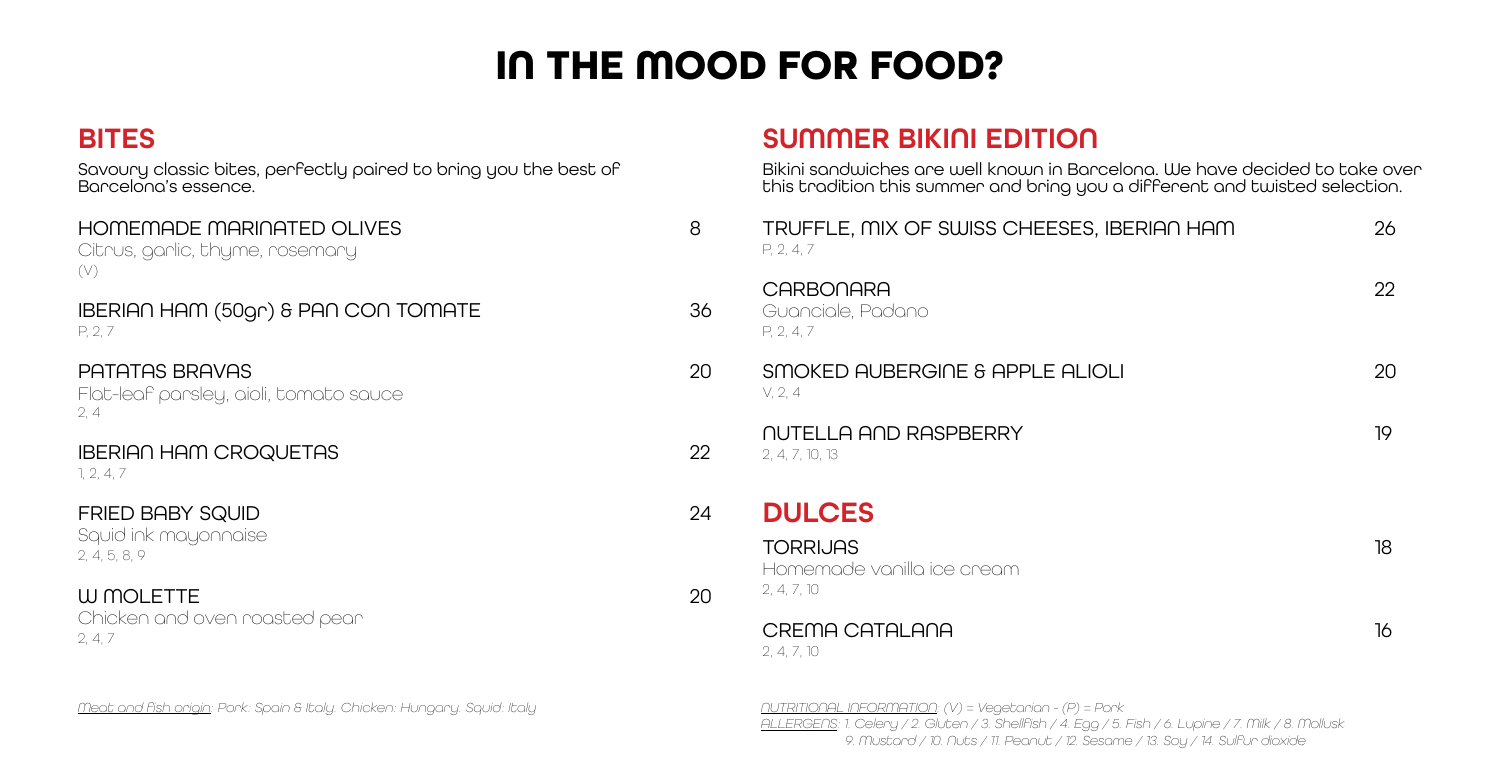## **IN THE MOOD FOR FOOD?**

#### **BITES**

Savoury classic bites, perfectly paired to bring you the best of Barcelona's essence.

| HOMEMADE MARINATED OLIVES<br>Citrus, garlic, thyme, rosemary<br>(V) | 8  |
|---------------------------------------------------------------------|----|
| IBERIAN HAM (50gr) & PAN CON TOMATE<br>P. 2.7                       | 36 |
| PATATAS BRAVAS<br>Flat-leaf parsley, aioli, tomato sauce<br>2, 4    | 20 |
| <b>IBERIAN HAM CROQUETAS</b><br>1, 2, 4, 7                          | 22 |
| <b>FRIED BABY SQUID</b><br>Squid ink mayonnaise<br>2, 4, 5, 8, 9    | 24 |
| W MOLETTE<br>Chicken and oven roasted pear<br>2, 4, 7               | 2Ο |
|                                                                     |    |

### SUMMER BIKINI EDITION

Bikini sandwiches are well known in Barcelona. We have decided to take over this tradition this summer and bring you a different and twisted selection.

| TRUFFLE, MIX OF SWISS CHEESES, IBERIAN HAM<br>P, 2, 4, 7     | 26 |
|--------------------------------------------------------------|----|
| CARBONARA<br>Guanciale, Padano<br>P. 2. 4.7                  | 22 |
| SMOKED AUBERGINE & APPLE ALIOLI<br>V, 2, 4                   | 20 |
| NUTELLA AND RASPBERRY<br>2, 4, 7, 10, 13                     | 19 |
| <b>DULCES</b>                                                |    |
| <b>TORRIJAS</b><br>Homemade vanilla ice cream<br>2, 4, 7, 10 | 18 |
| CREMA CATALANA<br>2, 4, 7, 10                                | 16 |

*NUTRITIONAL INFORMATION: (V) = Vegetarian - (P) = Pork*

*ALLERGENS: 1. Celery / 2. Gluten / 3. Shellfish / 4. Egg / 5. Fish / 6. Lupine / 7. Milk / 8. Mollusk 9. Mustard / 10. Nuts / 11. Peanut / 12. Sesame / 13. Soy / 14. Sulfur dioxide*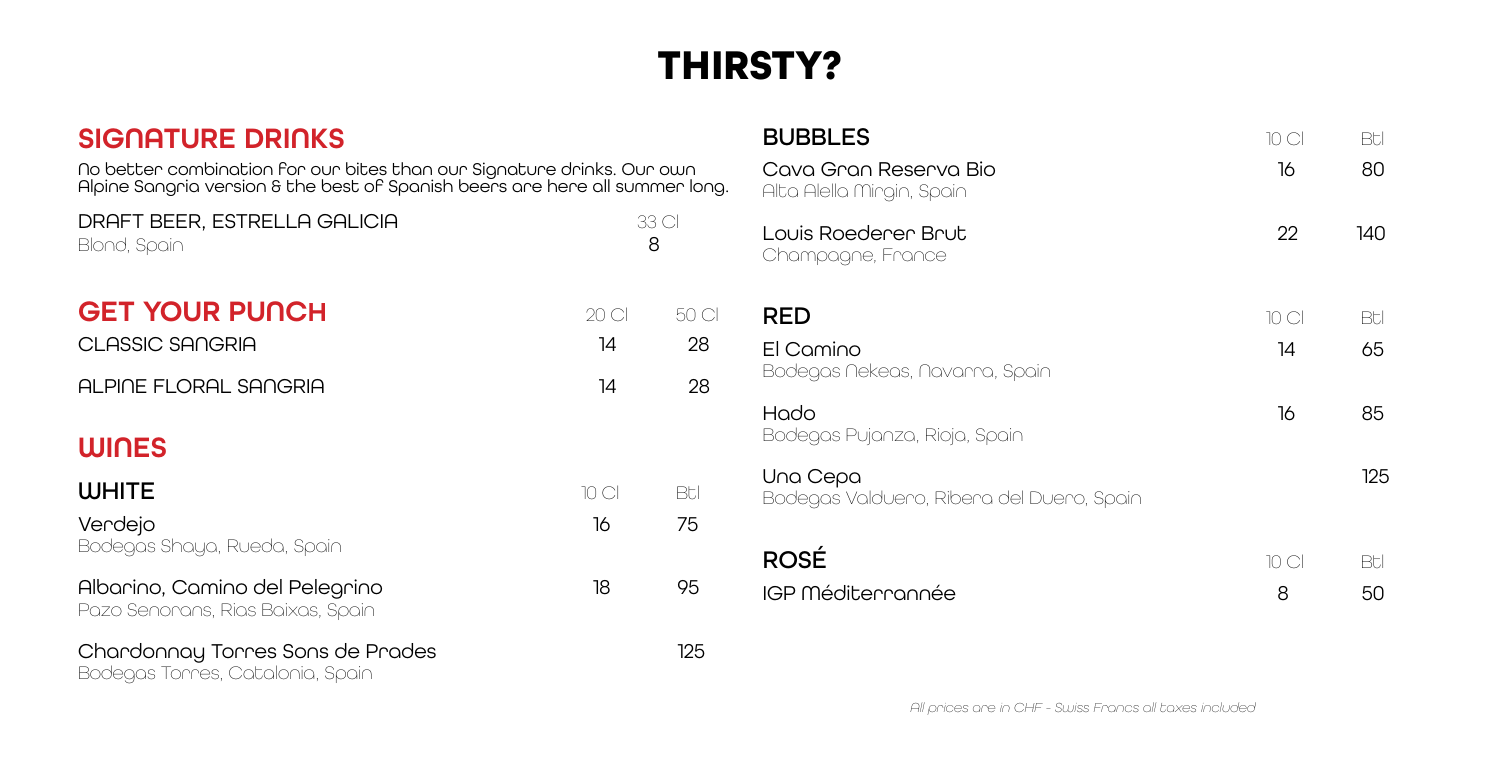# **THIRSTY?**

| SIGNATURE DRINKS<br>No better combination for our bites than our Signature drinks. Our own<br>Alpine Sangria version 8 the best of Spanish beers are here all summer long. |             |             |  |  |  |
|----------------------------------------------------------------------------------------------------------------------------------------------------------------------------|-------------|-------------|--|--|--|
| DRAFT BEER, ESTRELLA GALICIA<br>Blond, Spain                                                                                                                               | 33 Cl<br>8  |             |  |  |  |
| <b>GET YOUR PUNCH</b><br>CLASSIC SANGRIA                                                                                                                                   | 20 Cl<br>14 | 50 Cl<br>28 |  |  |  |
| ALPINE FLORAL SANGRIA                                                                                                                                                      | 14          | 28          |  |  |  |
| <b>WINES</b>                                                                                                                                                               |             |             |  |  |  |
| <b>WHITE</b>                                                                                                                                                               | 10 Cl       | Bt.         |  |  |  |
| Verdejo<br>Bodegas Shaya, Rueda, Spain                                                                                                                                     | 16          | 75          |  |  |  |
| Albarino, Camino del Pelegrino<br>Pazo Senorans, Rias Baixas, Spain                                                                                                        | 18          | 95          |  |  |  |
| Chardonnay Torres Sons de Prades<br>Bodegas Torres, Catalonia, Spain                                                                                                       |             | 125         |  |  |  |

| <b>BUBBLES</b>                                        | 10 CI | Btl |
|-------------------------------------------------------|-------|-----|
| Cava Gran Reserva Bio<br>Alta Alella Mirgin, Spain    | 16    | 80  |
| Louis Roederer Brut<br>Champagne, France              | 22    | 140 |
| RED                                                   | 10 CI | Btl |
| El Camino<br>Bodegas Nekeas, Navarra, Spain           | 14    | 65  |
| Hado<br>Bodegas Pujanza, Rioja, Spain                 | 16    | 85  |
| Una Cepa<br>Bodegas Valdueno, Ribena del Dueno, Spain |       | 125 |
| <b>ROSÉ</b>                                           | 10 CI | Btl |
| IGP Méditerrannée                                     | 8     | 50  |

*All prices are in CHF - Swiss Francs all taxes included*